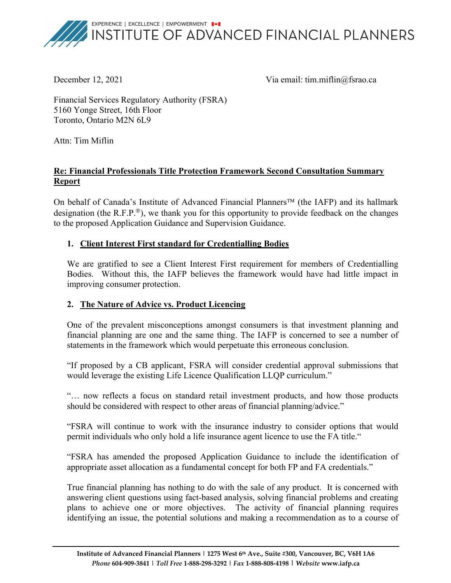

December 12, 2021 Via email: tim.miflin@fsrao.ca

Financial Services Regulatory Authority (FSRA) 5160 Yonge Street, 16th Floor Toronto, Ontario M2N 6L9

Attn: Tim Miflin

## **Re: Financial Professionals Title Protection Framework Second Consultation Summary Report**

On behalf of Canada's Institute of Advanced Financial Planners<sup>™</sup> (the IAFP) and its hallmark designation (the R.F.P. $^{\circledR}$ ), we thank you for this opportunity to provide feedback on the changes to the proposed Application Guidance and Supervision Guidance.

### **1. Client Interest First standard for Credentialling Bodies**

We are gratified to see a Client Interest First requirement for members of Credentialling Bodies. Without this, the IAFP believes the framework would have had little impact in improving consumer protection.

# **2. The Nature of Advice vs. Product Licencing**

One of the prevalent misconceptions amongst consumers is that investment planning and financial planning are one and the same thing. The IAFP is concerned to see a number of statements in the framework which would perpetuate this erroneous conclusion.

"If proposed by a CB applicant, FSRA will consider credential approval submissions that would leverage the existing Life Licence Qualification LLQP curriculum."

"… now reflects a focus on standard retail investment products, and how those products should be considered with respect to other areas of financial planning/advice."

"FSRA will continue to work with the insurance industry to consider options that would permit individuals who only hold a life insurance agent licence to use the FA title."

"FSRA has amended the proposed Application Guidance to include the identification of appropriate asset allocation as a fundamental concept for both FP and FA credentials."

True financial planning has nothing to do with the sale of any product. It is concerned with answering client questions using fact-based analysis, solving financial problems and creating plans to achieve one or more objectives. The activity of financial planning requires identifying an issue, the potential solutions and making a recommendation as to a course of